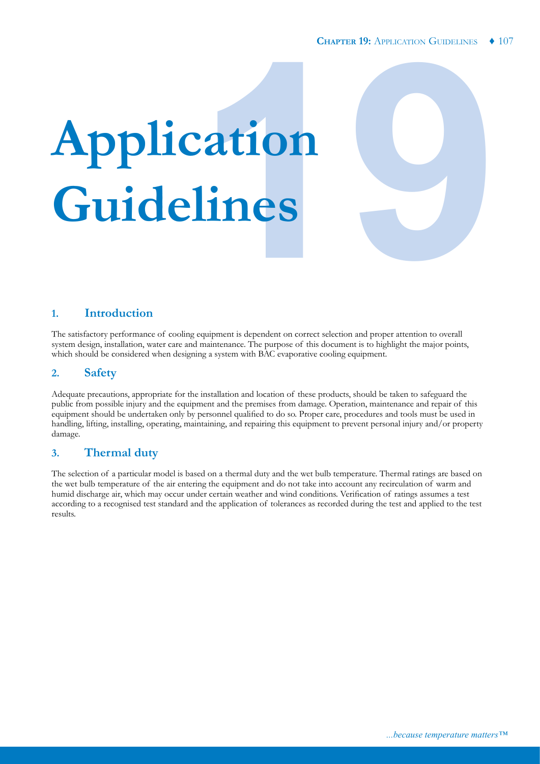# **19 Application Guidelines**

# **1. Introduction**

The satisfactory performance of cooling equipment is dependent on correct selection and proper attention to overall system design, installation, water care and maintenance. The purpose of this document is to highlight the major points, which should be considered when designing a system with BAC evaporative cooling equipment.

# **2. Safety**

Adequate precautions, appropriate for the installation and location of these products, should be taken to safeguard the public from possible injury and the equipment and the premises from damage. Operation, maintenance and repair of this equipment should be undertaken only by personnel qualified to do so. Proper care, procedures and tools must be used in handling, lifting, installing, operating, maintaining, and repairing this equipment to prevent personal injury and/or property damage.

# **3. Thermal duty**

The selection of a particular model is based on a thermal duty and the wet bulb temperature. Thermal ratings are based on the wet bulb temperature of the air entering the equipment and do not take into account any recirculation of warm and humid discharge air, which may occur under certain weather and wind conditions. Verification of ratings assumes a test according to a recognised test standard and the application of tolerances as recorded during the test and applied to the test results.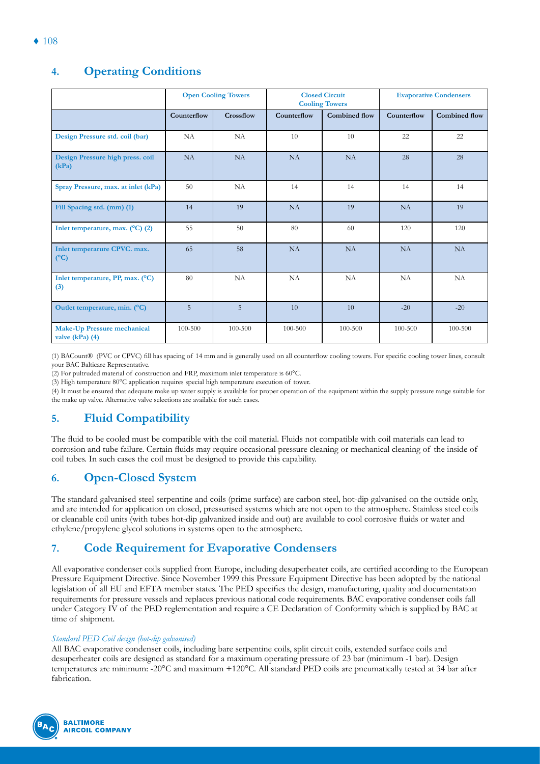# **Open Cooling Towers Closed Circuit Cooling Towers Evaporative Condensers Counterflow Crossflow Counterflow Combined flow Counterflow Combined flow Design Pressure std. coil (bar)** NA NA 10 10 22 22 **Design Pressure high press. coil (kPa)** NA | NA | NA | NA | 28 | 28 **Spray Pressure, max. at inlet (kPa)** 50 NA 14 14 14 14 14 **Fill Spacing std. (mm) (1)** 14 19 NA 19 NA 19 **Inlet temperature, max.** (°C) (2)  $\vert$  55  $\vert$  50 80 60 120 120 120 120 **Inlet temperarure CPVC. max. (°C)** 65 | 58 | NA | NA | NA | NA **Inlet temperature, PP, max. (°C) (3)** 80 NA NA NA NA NA **Outlet temperature, min. (°C)** 5 5 5 10 10 10 -20 -20 -20 **Make-Up Pressure mechanical valve (kPa) (4)** 100-500 100-500 100-500 100-500 100-500 100-500

(1) BACount® (PVC or CPVC) fill has spacing of 14 mm and is generally used on all counterflow cooling towers. For specific cooling tower lines, consult your BAC Balticare Representative.

(2) For pultruded material of construction and FRP, maximum inlet temperature is 60°C.

(3) High temperature 80°C application requires special high temperature execution of tower.

(4) It must be ensured that adequate make up water supply is available for proper operation of the equipment within the supply pressure range suitable for the make up valve. Alternative valve selections are available for such cases.

# **5. Fluid Compatibility**

The fluid to be cooled must be compatible with the coil material. Fluids not compatible with coil materials can lead to corrosion and tube failure. Certain fluids may require occasional pressure cleaning or mechanical cleaning of the inside of coil tubes. In such cases the coil must be designed to provide this capability.

# **6. Open-Closed System**

The standard galvanised steel serpentine and coils (prime surface) are carbon steel, hot-dip galvanised on the outside only, and are intended for application on closed, pressurised systems which are not open to the atmosphere. Stainless steel coils or cleanable coil units (with tubes hot-dip galvanized inside and out) are available to cool corrosive fluids or water and ethylene/propylene glycol solutions in systems open to the atmosphere.

# **7. Code Requirement for Evaporative Condensers**

All evaporative condenser coils supplied from Europe, including desuperheater coils, are certified according to the European Pressure Equipment Directive. Since November 1999 this Pressure Equipment Directive has been adopted by the national legislation of all EU and EFTA member states. The PED specifies the design, manufacturing, quality and documentation requirements for pressure vessels and replaces previous national code requirements. BAC evaporative condenser coils fall under Category IV of the PED reglementation and require a CE Declaration of Conformity which is supplied by BAC at time of shipment.

## *Standard PED Coil design (hot-dip galvanised)*

All BAC evaporative condenser coils, including bare serpentine coils, split circuit coils, extended surface coils and desuperheater coils are designed as standard for a maximum operating pressure of 23 bar (minimum -1 bar). Design temperatures are minimum: -20°C and maximum +120°C. All standard PED coils are pneumatically tested at 34 bar after fabrication.



# **4. Operating Conditions**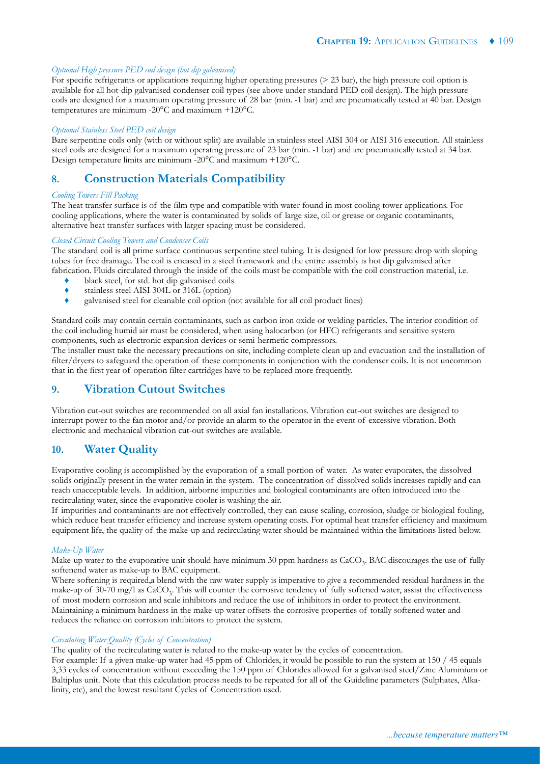#### *Optional High pressure PED coil design (hot dip galvanised)*

For specific refrigerants or applications requiring higher operating pressures (> 23 bar), the high pressure coil option is available for all hot-dip galvanised condenser coil types (see above under standard PED coil design). The high pressure coils are designed for a maximum operating pressure of 28 bar (min. -1 bar) and are pneumatically tested at 40 bar. Design temperatures are minimum -20°C and maximum +120°C.

#### *Optional Stainless Steel PED coil design*

Bare serpentine coils only (with or without split) are available in stainless steel AISI 304 or AISI 316 execution. All stainless steel coils are designed for a maximum operating pressure of 23 bar (min. -1 bar) and are pneumatically tested at 34 bar. Design temperature limits are minimum -20°C and maximum +120°C.

# **8. Construction Materials Compatibility**

#### *Cooling Towers Fill Packing*

The heat transfer surface is of the film type and compatible with water found in most cooling tower applications. For cooling applications, where the water is contaminated by solids of large size, oil or grease or organic contaminants, alternative heat transfer surfaces with larger spacing must be considered.

#### *Closed Circuit Cooling Towers and Condenser Coils*

The standard coil is all prime surface continuous serpentine steel tubing. It is designed for low pressure drop with sloping tubes for free drainage. The coil is encased in a steel framework and the entire assembly is hot dip galvanised after fabrication. Fluids circulated through the inside of the coils must be compatible with the coil construction material, i.e.

- black steel, for std. hot dip galvanised coils
- ♦ stainless steel AISI 304L or 316L (option)
- ♦ galvanised steel for cleanable coil option (not available for all coil product lines)

Standard coils may contain certain contaminants, such as carbon iron oxide or welding particles. The interior condition of the coil including humid air must be considered, when using halocarbon (or HFC) refrigerants and sensitive system components, such as electronic expansion devices or semi-hermetic compressors.

The installer must take the necessary precautions on site, including complete clean up and evacuation and the installation of filter/dryers to safeguard the operation of these components in conjunction with the condenser coils. It is not uncommon that in the first year of operation filter cartridges have to be replaced more frequently.

# **9. Vibration Cutout Switches**

Vibration cut-out switches are recommended on all axial fan installations. Vibration cut-out switches are designed to interrupt power to the fan motor and/or provide an alarm to the operator in the event of excessive vibration. Both electronic and mechanical vibration cut-out switches are available.

# **10. Water Quality**

Evaporative cooling is accomplished by the evaporation of a small portion of water. As water evaporates, the dissolved solids originally present in the water remain in the system. The concentration of dissolved solids increases rapidly and can reach unacceptable levels. In addition, airborne impurities and biological contaminants are often introduced into the recirculating water, since the evaporative cooler is washing the air.

If impurities and contaminants are not effectively controlled, they can cause scaling, corrosion, sludge or biological fouling, which reduce heat transfer efficiency and increase system operating costs. For optimal heat transfer efficiency and maximum equipment life, the quality of the make-up and recirculating water should be maintained within the limitations listed below.

#### *Make-Up Water*

Make-up water to the evaporative unit should have minimum 30 ppm hardness as CaCO<sub>3</sub>. BAC discourages the use of fully softenend water as make-up to BAC equipment.

Where softening is required,a blend with the raw water supply is imperative to give a recommended residual hardness in the make-up of  $30\text{-}70$  mg/l as  $CaCO<sub>3</sub>$ . This will counter the corrosive tendency of fully softened water, assist the effectiveness of most modern corrosion and scale inhibitors and reduce the use of inhibitors in order to protect the environment. Maintaining a minimum hardness in the make-up water offsets the corrosive properties of totally softened water and reduces the reliance on corrosion inhibitors to protect the system.

# *Circulating Water Quality (Cycles of Concentration)*

The quality of the recirculating water is related to the make-up water by the cycles of concentration.

For example: If a given make-up water had 45 ppm of Chlorides, it would be possible to run the system at 150 / 45 equals 3,33 cycles of concentration without exceeding the 150 ppm of Chlorides allowed for a galvanised steel/Zinc Aluminium or Baltiplus unit. Note that this calculation process needs to be repeated for all of the Guideline parameters (Sulphates, Alkalinity, etc), and the lowest resultant Cycles of Concentration used.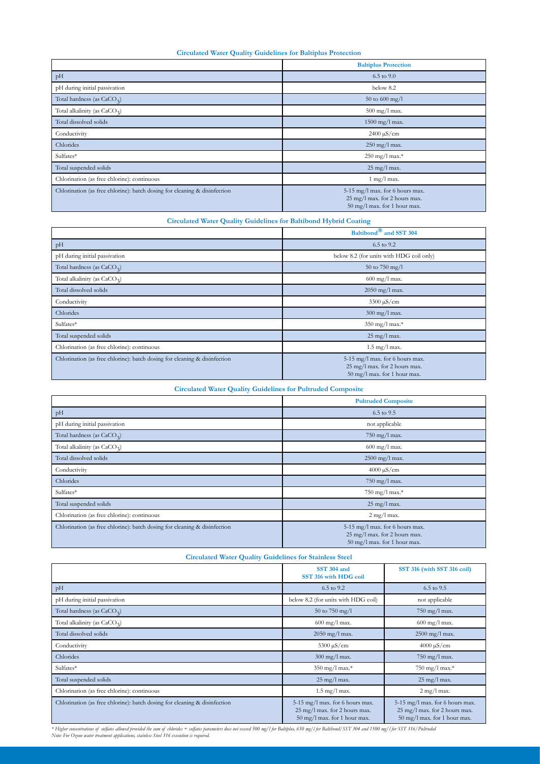#### **Circulated Water Quality Guidelines for Baltiplus Protection**

|                                                                           | <b>Baltiplus Protection</b>                                                                      |  |  |  |
|---------------------------------------------------------------------------|--------------------------------------------------------------------------------------------------|--|--|--|
| pH                                                                        | $6.5$ to $9.0$                                                                                   |  |  |  |
| pH during initial passivation                                             | below 8.2                                                                                        |  |  |  |
| Total hardness (as $CaCO3$ )                                              | 50 to 600 mg/l                                                                                   |  |  |  |
| Total alkalinity (as CaCO <sub>3</sub> )                                  | 500 mg/l max.                                                                                    |  |  |  |
| Total dissolved solids                                                    | 1500 mg/l max.                                                                                   |  |  |  |
| Conductivity                                                              | $2400 \,\mathrm{\upmu S/cm}$                                                                     |  |  |  |
| Chlorides                                                                 | 250 mg/l max.                                                                                    |  |  |  |
| Sulfates*                                                                 | 250 mg/l max.*                                                                                   |  |  |  |
| Total suspended solids                                                    | 25 mg/l max.                                                                                     |  |  |  |
| Chlorination (as free chlorine): continuous                               | $1$ mg/l max.                                                                                    |  |  |  |
| Chlorination (as free chlorine): batch dosing for cleaning & disinfection | 5-15 mg/l max. for 6 hours max.<br>25 mg/l max. for 2 hours max.<br>50 mg/l max. for 1 hour max. |  |  |  |

#### **Circulated Water Quality Guidelines for Baltibond Hybrid Coating**

|                                                                           | Baltibond® and SST 304                                                                           |  |  |
|---------------------------------------------------------------------------|--------------------------------------------------------------------------------------------------|--|--|
| pH                                                                        | 6.5 to 9.2                                                                                       |  |  |
| pH during initial passivation                                             | below 8.2 (for units with HDG coil only)                                                         |  |  |
| Total hardness (as $CaCO3$ )                                              | 50 to 750 mg/l                                                                                   |  |  |
| Total alkalinity (as CaCO <sub>3</sub> )                                  | $600 \text{ mg/l}$ max.                                                                          |  |  |
| Total dissolved solids                                                    | 2050 mg/l max.                                                                                   |  |  |
| Conductivity                                                              | $3300 \,\mathrm{\upmu S/cm}$                                                                     |  |  |
| Chlorides                                                                 | 300 mg/l max.                                                                                    |  |  |
| Sulfates*                                                                 | 350 mg/l max.*                                                                                   |  |  |
| Total suspended solids                                                    | 25 mg/l max.                                                                                     |  |  |
| Chlorination (as free chlorine): continuous                               | $1.5$ mg/l max.                                                                                  |  |  |
| Chlorination (as free chlorine): batch dosing for cleaning & disinfection | 5-15 mg/l max. for 6 hours max.<br>25 mg/l max. for 2 hours max.<br>50 mg/l max. for 1 hour max. |  |  |

| <b>Circulated Water Quality Guidelines for Pultruded Composite</b>        |                                                                                                            |  |  |  |
|---------------------------------------------------------------------------|------------------------------------------------------------------------------------------------------------|--|--|--|
|                                                                           | <b>Pultruded Composite</b>                                                                                 |  |  |  |
| pH                                                                        | 6.5 to 9.5                                                                                                 |  |  |  |
| pH during initial passivation                                             | not applicable                                                                                             |  |  |  |
| Total hardness (as $CaCO2$ )                                              | 750 mg/l max.                                                                                              |  |  |  |
| Total alkalinity (as CaCO <sub>3</sub> )                                  | $600 \text{ mg/l}$ max.                                                                                    |  |  |  |
| Total dissolved solids                                                    | 2500 mg/l max.                                                                                             |  |  |  |
| Conductivity                                                              | $4000 \mu S/cm$                                                                                            |  |  |  |
| Chlorides                                                                 | 750 mg/l max.                                                                                              |  |  |  |
| Sulfates*                                                                 | 750 mg/l max.*                                                                                             |  |  |  |
| Total suspended solids                                                    | 25 mg/l max.                                                                                               |  |  |  |
| Chlorination (as free chlorine): continuous                               | $2$ mg/l max.                                                                                              |  |  |  |
| Chlorination (as free chlorine): batch dosing for cleaning & disinfection | 5-15 mg/l max. for 6 hours max.<br>25 mg/l max. for 2 hours max.<br>$50 \text{ mg/l}$ max. for 1 hour max. |  |  |  |

| <b>Circulated Water Quality Guidelines for Stainless Steel</b> |  |  |  |
|----------------------------------------------------------------|--|--|--|
|                                                                |  |  |  |

|                                                                           | <b>SST 304 and</b><br>SST 316 with HDG coil                                                      | SST 316 (with SST 316 coil)                                                                                |
|---------------------------------------------------------------------------|--------------------------------------------------------------------------------------------------|------------------------------------------------------------------------------------------------------------|
| pH                                                                        | 6.5 to 9.2                                                                                       | 6.5 to 9.5                                                                                                 |
| pH during initial passivation                                             | below 8.2 (for units with HDG coil)                                                              | not applicable                                                                                             |
| Total hardness (as CaCO <sub>3</sub> )                                    | 50 to 750 mg/l                                                                                   | 750 mg/l max.                                                                                              |
| Total alkalinity (as CaCO <sub>3</sub> )                                  | $600 \text{ mg/l}$ max.                                                                          | $600 \text{ mg/l}$ max.                                                                                    |
| Total dissolved solids                                                    | $2050$ mg/l max.                                                                                 | 2500 mg/l max.                                                                                             |
| Conductivity                                                              | $3300 \mu S/cm$                                                                                  | $4000 \mu S/cm$                                                                                            |
| Chlorides                                                                 | 300 mg/l max.                                                                                    | 750 mg/l max.                                                                                              |
| Sulfates*                                                                 | 350 mg/l max.*                                                                                   | 750 mg/l max.*                                                                                             |
| Total suspended solids                                                    | $25 \text{ mg/l}$ max.                                                                           | 25 mg/l max.                                                                                               |
| Chlorination (as free chlorine): continuous                               | $1.5$ mg/l max.                                                                                  | $2$ mg/l max.                                                                                              |
| Chlorination (as free chlorine): batch dosing for cleaning & disinfection | 5-15 mg/l max. for 6 hours max.<br>25 mg/l max. for 2 hours max.<br>50 mg/l max. for 1 hour max. | 5-15 mg/l max. for 6 hours max.<br>25 mg/l max. for 2 hours max.<br>$50 \text{ mg/l}$ max. for 1 hour max. |

\* Higher concentrations of sulfates allowed provided the sum of chlorides + sulfates parameters does not exceed 500 mg/l for Baltiplus, 650 mg/l for Baltibond/SST 304 and 1500 mg/l for SST 316/Pultruded<br>Note: For Ozone wat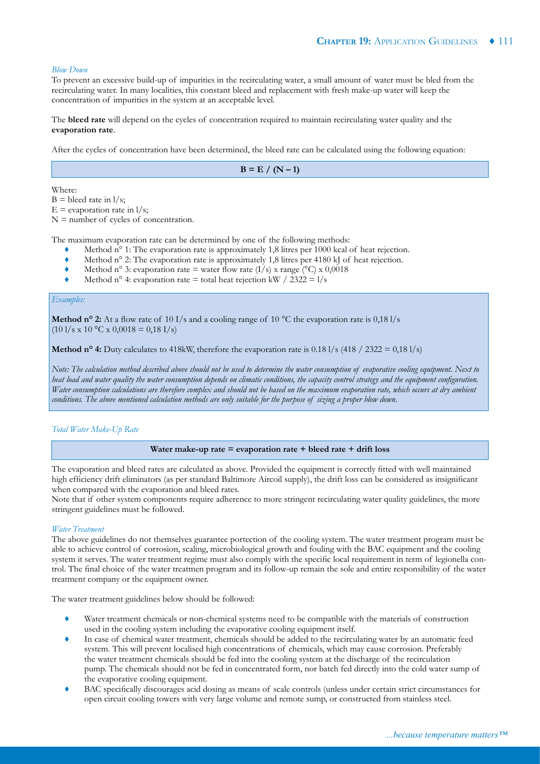#### *Blow Down*

To prevent an excessive build-up of impurities in the recirculating water, a small amount of water must be bled from the recirculating water. In many localities, this constant bleed and replacement with fresh make-up water will keep the concentration of impurities in the system at an acceptable level.

The **bleed rate** will depend on the cycles of concentration required to maintain recirculating water quality and the **evaporation rate**.

After the cycles of concentration have been determined, the bleed rate can be calculated using the following equation:

 $B = E / (N - 1)$ 

Where:

 $B =$  bleed rate in  $1/s$ ;

 $E =$  evaporation rate in  $1/s$ ;

 $N =$  number of cycles of concentration.

The maximum evaporation rate can be determined by one of the following methods:

- Method  $n^{\circ}$  1: The evaporation rate is approximately 1,8 litres per 1000 kcal of heat rejection.
- Method n° 2: The evaporation rate is approximately 1,8 litres per 4180 kJ of heat rejection.
- $\blacklozenge$  Method n° 3: evaporation rate = water flow rate  $(I/s)$  x range (°C) x 0,0018
- $\blacklozenge$  Method n° 4: evaporation rate = total heat rejection kW / 2322 = 1/s

#### *Examples:*

**Method n° 2:** At a flow rate of 10 I/s and a cooling range of 10 °C the evaporation rate is 0,18 I/s  $(10 \frac{1}{s} \times 10 \degree C \times 0,0018 = 0,18 \frac{I}{s})$ 

**Method n° 4:** Duty calculates to 418kW, therefore the evaporation rate is  $0.181/s$  (418 / 2322 =  $0.181/s$ )

*Note: The calculation method described above should not be used to determine the water consumption of evaporative cooling equipment. Next to heat load and water quality the water consumption depends on climatic conditions, the capacity control strategy and the equipment configuration. Water consumption calculations are therefore complex and should not be based on the maximum evaporation rate, which occurs at dry ambient conditions. The above mentioned calculation methods are only suitable for the purpose of sizing a proper blow down.*

#### *Total Water Make-Up Rate*

#### **Water make-up rate = evaporation rate + bleed rate + drift loss**

The evaporation and bleed rates are calculated as above. Provided the equipment is correctly fitted with well maintained high efficiency drift eliminators (as per standard Baltimore Aircoil supply), the drift loss can be considered as insignificant when compared with the evaporation and bleed rates.

Note that if other system components require adherence to more stringent recirculating water quality guidelines, the more stringent guidelines must be followed.

#### *Water Treatment*

The above guidelines do not themselves guarantee portection of the cooling system. The water treatment program must be able to achieve control of corrosion, scaling, microbiological growth and fouling with the BAC equipment and the cooling system it serves. The water treatment regime must also comply with the specific local requirement in term of legionella control. The final choice of the water treatmen program and its follow-up remain the sole and entire responsibility of the water treatment company or the equipment owner.

The water treatment guidelines below should be followed:

- Water treatment chemicals or non-chemical systems need to be compatible with the materials of construction used in the cooling system including the evaporative cooling equipment itself.
- In case of chemical water treatment, chemicals should be added to the recirculating water by an automatic feed system. This will prevent localised high concentrations of chemicals, which may cause corrosion. Preferably the water treatment chemicals should be fed into the cooling system at the discharge of the recirculation pump. The chemicals should not be fed in concentrated form, nor batch fed directly into the cold water sump of the evaporative cooling equipment.
- BAC specifically discourages acid dosing as means of scale controls (unless under certain strict circumstances for open circuit cooling towers with very large volume and remote sump, or constructed from stainless steel.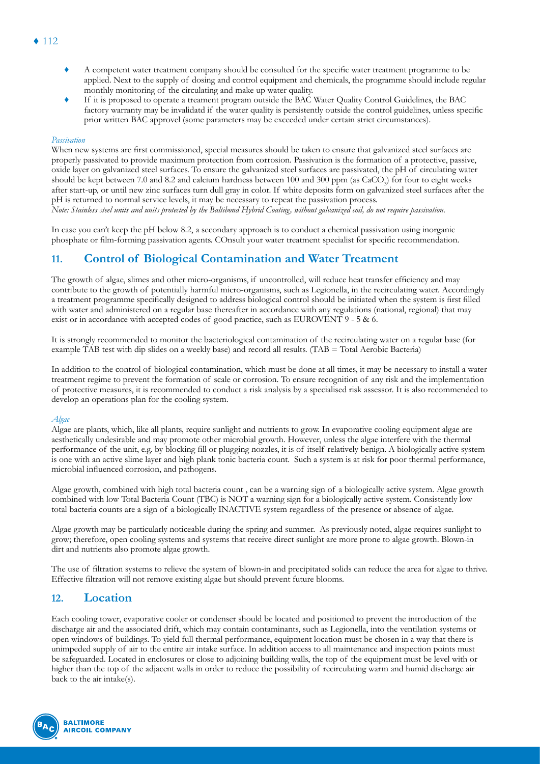- ♦ A competent water treatment company should be consulted for the specific water treatment programme to be applied. Next to the supply of dosing and control equipment and chemicals, the programme should include regular monthly monitoring of the circulating and make up water quality.
- If it is proposed to operate a treament program outside the BAC Water Quality Control Guidelines, the BAC factory warranty may be invalidatd if the water quality is persistently outside the control guidelines, unless specific prior written BAC approvel (some parameters may be exceeded under certain strict circumstances).

#### *Passivation*

When new systems are first commissioned, special measures should be taken to ensure that galvanized steel surfaces are properly passivated to provide maximum protection from corrosion. Passivation is the formation of a protective, passive, oxide layer on galvanized steel surfaces. To ensure the galvanized steel surfaces are passivated, the pH of circulating water should be kept between 7.0 and 8.2 and calcium hardness between 100 and 300 ppm (as CaCO<sub>3</sub>) for four to eight weeks after start-up, or until new zinc surfaces turn dull gray in color. If white deposits form on galvanized steel surfaces after the pH is returned to normal service levels, it may be necessary to repeat the passivation process. *Note: Stainless steel units and units protected by the Baltibond Hybrid Coating, without galvanized coil, do not require passivation.*

In case you can't keep the pH below 8.2, a secondary approach is to conduct a chemical passivation using inorganic phosphate or film-forming passivation agents. COnsult your water treatment specialist for specific recommendation.

# **11. Control of Biological Contamination and Water Treatment**

The growth of algae, slimes and other micro-organisms, if uncontrolled, will reduce heat transfer efficiency and may contribute to the growth of potentially harmful micro-organisms, such as Legionella, in the recirculating water. Accordingly a treatment programme specifically designed to address biological control should be initiated when the system is first filled with water and administered on a regular base thereafter in accordance with any regulations (national, regional) that may exist or in accordance with accepted codes of good practice, such as EUROVENT 9 - 5 & 6.

It is strongly recommended to monitor the bacteriological contamination of the recirculating water on a regular base (for example TAB test with dip slides on a weekly base) and record all results. (TAB = Total Aerobic Bacteria)

In addition to the control of biological contamination, which must be done at all times, it may be necessary to install a water treatment regime to prevent the formation of scale or corrosion. To ensure recognition of any risk and the implementation of protective measures, it is recommended to conduct a risk analysis by a specialised risk assessor. It is also recommended to develop an operations plan for the cooling system.

#### *Algae*

Algae are plants, which, like all plants, require sunlight and nutrients to grow. In evaporative cooling equipment algae are aesthetically undesirable and may promote other microbial growth. However, unless the algae interfere with the thermal performance of the unit, e.g. by blocking fill or plugging nozzles, it is of itself relatively benign. A biologically active system is one with an active slime layer and high plank tonic bacteria count. Such a system is at risk for poor thermal performance, microbial influenced corrosion, and pathogens.

Algae growth, combined with high total bacteria count , can be a warning sign of a biologically active system. Algae growth combined with low Total Bacteria Count (TBC) is NOT a warning sign for a biologically active system. Consistently low total bacteria counts are a sign of a biologically INACTIVE system regardless of the presence or absence of algae.

Algae growth may be particularly noticeable during the spring and summer. As previously noted, algae requires sunlight to grow; therefore, open cooling systems and systems that receive direct sunlight are more prone to algae growth. Blown-in dirt and nutrients also promote algae growth.

The use of filtration systems to relieve the system of blown-in and precipitated solids can reduce the area for algae to thrive. Effective filtration will not remove existing algae but should prevent future blooms.

# **12. Location**

Each cooling tower, evaporative cooler or condenser should be located and positioned to prevent the introduction of the discharge air and the associated drift, which may contain contaminants, such as Legionella, into the ventilation systems or open windows of buildings. To yield full thermal performance, equipment location must be chosen in a way that there is unimpeded supply of air to the entire air intake surface. In addition access to all maintenance and inspection points must be safeguarded. Located in enclosures or close to adjoining building walls, the top of the equipment must be level with or higher than the top of the adjacent walls in order to reduce the possibility of recirculating warm and humid discharge air back to the air intake(s).



# $\triangle$  112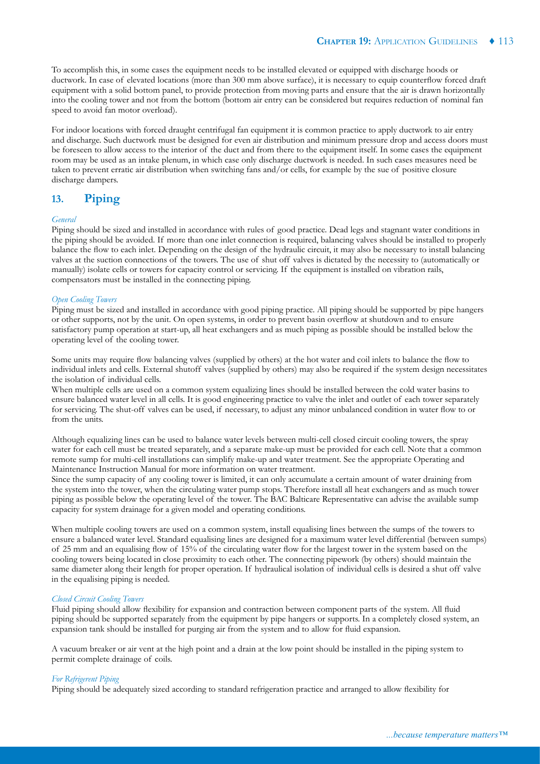To accomplish this, in some cases the equipment needs to be installed elevated or equipped with discharge hoods or ductwork. In case of elevated locations (more than 300 mm above surface), it is necessary to equip counterflow forced draft equipment with a solid bottom panel, to provide protection from moving parts and ensure that the air is drawn horizontally into the cooling tower and not from the bottom (bottom air entry can be considered but requires reduction of nominal fan speed to avoid fan motor overload).

For indoor locations with forced draught centrifugal fan equipment it is common practice to apply ductwork to air entry and discharge. Such ductwork must be designed for even air distribution and minimum pressure drop and access doors must be foreseen to allow access to the interior of the duct and from there to the equipment itself. In some cases the equipment room may be used as an intake plenum, in which case only discharge ductwork is needed. In such cases measures need be taken to prevent erratic air distribution when switching fans and/or cells, for example by the sue of positive closure discharge dampers.

# **13. Piping**

#### *General*

Piping should be sized and installed in accordance with rules of good practice. Dead legs and stagnant water conditions in the piping should be avoided. If more than one inlet connection is required, balancing valves should be installed to properly balance the flow to each inlet. Depending on the design of the hydraulic circuit, it may also be necessary to install balancing valves at the suction connections of the towers. The use of shut off valves is dictated by the necessity to (automatically or manually) isolate cells or towers for capacity control or servicing. If the equipment is installed on vibration rails, compensators must be installed in the connecting piping.

#### *Open Cooling Towers*

Piping must be sized and installed in accordance with good piping practice. All piping should be supported by pipe hangers or other supports, not by the unit. On open systems, in order to prevent basin overflow at shutdown and to ensure satisfactory pump operation at start-up, all heat exchangers and as much piping as possible should be installed below the operating level of the cooling tower.

Some units may require flow balancing valves (supplied by others) at the hot water and coil inlets to balance the flow to individual inlets and cells. External shutoff valves (supplied by others) may also be required if the system design necessitates the isolation of individual cells.

When multiple cells are used on a common system equalizing lines should be installed between the cold water basins to ensure balanced water level in all cells. It is good engineering practice to valve the inlet and outlet of each tower separately for servicing. The shut-off valves can be used, if necessary, to adjust any minor unbalanced condition in water flow to or from the units.

Although equalizing lines can be used to balance water levels between multi-cell closed circuit cooling towers, the spray water for each cell must be treated separately, and a separate make-up must be provided for each cell. Note that a common remote sump for multi-cell installations can simplify make-up and water treatment. See the appropriate Operating and Maintenance Instruction Manual for more information on water treatment.

Since the sump capacity of any cooling tower is limited, it can only accumulate a certain amount of water draining from the system into the tower, when the circulating water pump stops. Therefore install all heat exchangers and as much tower piping as possible below the operating level of the tower. The BAC Balticare Representative can advise the available sump capacity for system drainage for a given model and operating conditions.

When multiple cooling towers are used on a common system, install equalising lines between the sumps of the towers to ensure a balanced water level. Standard equalising lines are designed for a maximum water level differential (between sumps) of 25 mm and an equalising flow of 15% of the circulating water flow for the largest tower in the system based on the cooling towers being located in close proximity to each other. The connecting pipework (by others) should maintain the same diameter along their length for proper operation. If hydraulical isolation of individual cells is desired a shut off valve in the equalising piping is needed.

#### *Closed Circuit Cooling Towers*

Fluid piping should allow flexibility for expansion and contraction between component parts of the system. All fluid piping should be supported separately from the equipment by pipe hangers or supports. In a completely closed system, an expansion tank should be installed for purging air from the system and to allow for fluid expansion.

A vacuum breaker or air vent at the high point and a drain at the low point should be installed in the piping system to permit complete drainage of coils.

#### *For Refrigerent Piping*

Piping should be adequately sized according to standard refrigeration practice and arranged to allow flexibility for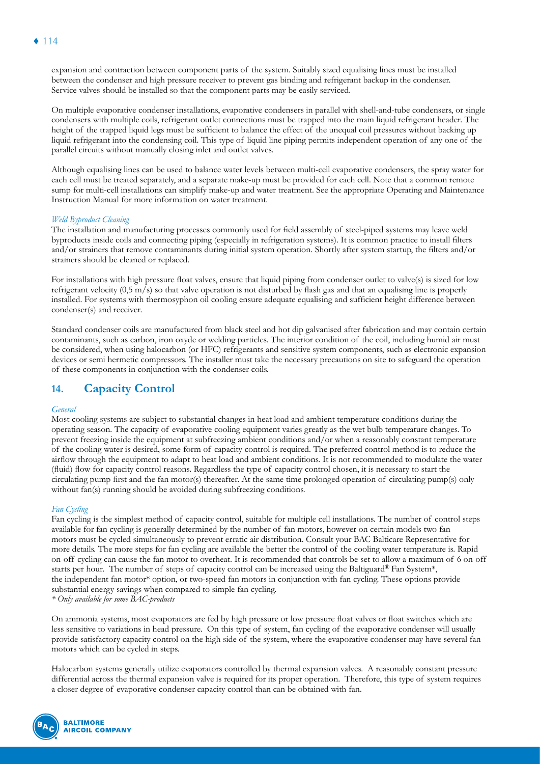expansion and contraction between component parts of the system. Suitably sized equalising lines must be installed between the condenser and high pressure receiver to prevent gas binding and refrigerant backup in the condenser. Service valves should be installed so that the component parts may be easily serviced.

On multiple evaporative condenser installations, evaporative condensers in parallel with shell-and-tube condensers, or single condensers with multiple coils, refrigerant outlet connections must be trapped into the main liquid refrigerant header. The height of the trapped liquid legs must be sufficient to balance the effect of the unequal coil pressures without backing up liquid refrigerant into the condensing coil. This type of liquid line piping permits independent operation of any one of the parallel circuits without manually closing inlet and outlet valves.

Although equalising lines can be used to balance water levels between multi-cell evaporative condensers, the spray water for each cell must be treated separately, and a separate make-up must be provided for each cell. Note that a common remote sump for multi-cell installations can simplify make-up and water treatment. See the appropriate Operating and Maintenance Instruction Manual for more information on water treatment.

#### *Weld Byproduct Cleaning*

The installation and manufacturing processes commonly used for field assembly of steel-piped systems may leave weld byproducts inside coils and connecting piping (especially in refrigeration systems). It is common practice to install filters and/or strainers that remove contaminants during initial system operation. Shortly after system startup, the filters and/or strainers should be cleaned or replaced.

For installations with high pressure float valves, ensure that liquid piping from condenser outlet to valve(s) is sized for low refrigerant velocity (0,5 m/s) so that valve operation is not disturbed by flash gas and that an equalising line is properly installed. For systems with thermosyphon oil cooling ensure adequate equalising and sufficient height difference between condenser(s) and receiver.

Standard condenser coils are manufactured from black steel and hot dip galvanised after fabrication and may contain certain contaminants, such as carbon, iron oxyde or welding particles. The interior condition of the coil, including humid air must be considered, when using halocarbon (or HFC) refrigerants and sensitive system components, such as electronic expansion devices or semi hermetic compressors. The installer must take the necessary precautions on site to safeguard the operation of these components in conjunction with the condenser coils.

# **14. Capacity Control**

#### *General*

Most cooling systems are subject to substantial changes in heat load and ambient temperature conditions during the operating season. The capacity of evaporative cooling equipment varies greatly as the wet bulb temperature changes. To prevent freezing inside the equipment at subfreezing ambient conditions and/or when a reasonably constant temperature of the cooling water is desired, some form of capacity control is required. The preferred control method is to reduce the airflow through the equipment to adapt to heat load and ambient conditions. It is not recommended to modulate the water (fluid) flow for capacity control reasons. Regardless the type of capacity control chosen, it is necessary to start the circulating pump first and the fan motor(s) thereafter. At the same time prolonged operation of circulating pump(s) only without fan(s) running should be avoided during subfreezing conditions.

#### *Fan Cycling*

Fan cycling is the simplest method of capacity control, suitable for multiple cell installations. The number of control steps available for fan cycling is generally determined by the number of fan motors, however on certain models two fan motors must be cycled simultaneously to prevent erratic air distribution. Consult your BAC Balticare Representative for more details. The more steps for fan cycling are available the better the control of the cooling water temperature is. Rapid on-off cycling can cause the fan motor to overheat. It is recommended that controls be set to allow a maximum of 6 on-off starts per hour. The number of steps of capacity control can be increased using the Baltiguard® Fan System\*, the independent fan motor\* option, or two-speed fan motors in conjunction with fan cycling. These options provide substantial energy savings when compared to simple fan cycling.

*\* Only available for some BAC-products*

On ammonia systems, most evaporators are fed by high pressure or low pressure float valves or float switches which are less sensitive to variations in head pressure. On this type of system, fan cycling of the evaporative condenser will usually provide satisfactory capacity control on the high side of the system, where the evaporative condenser may have several fan motors which can be cycled in steps.

Halocarbon systems generally utilize evaporators controlled by thermal expansion valves. A reasonably constant pressure differential across the thermal expansion valve is required for its proper operation. Therefore, this type of system requires a closer degree of evaporative condenser capacity control than can be obtained with fan.

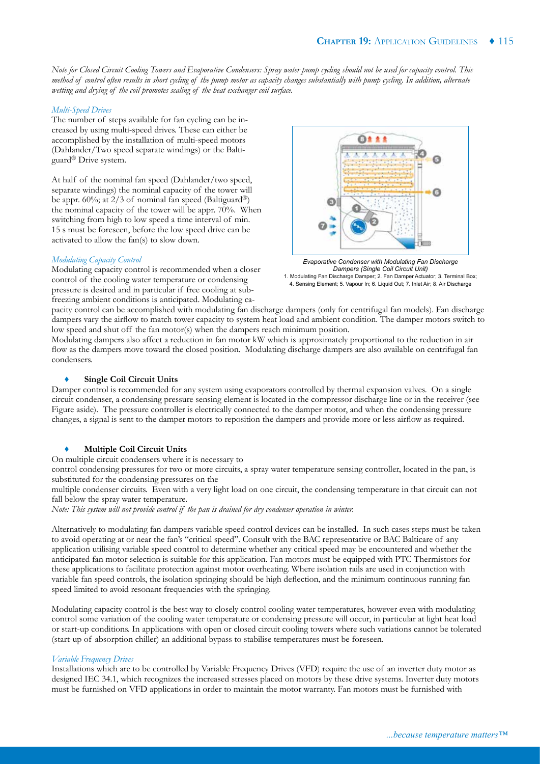*Note for Closed Circuit Cooling Towers and Evaporative Condensers: Spray water pump cycling should not be used for capacity control. This method of control often results in short cycling of the pump motor as capacity changes substantially with pump cycling. In addition, alternate wetting and drying of the coil promotes scaling of the heat exchanger coil surface.* 

# *Multi-Speed Drives*

The number of steps available for fan cycling can be increased by using multi-speed drives. These can either be accomplished by the installation of multi-speed motors (Dahlander/Two speed separate windings) or the Baltiguard® Drive system.

At half of the nominal fan speed (Dahlander/two speed, separate windings) the nominal capacity of the tower will be appr. 60%; at 2/3 of nominal fan speed (Baltiguard<sup>®</sup>) the nominal capacity of the tower will be appr. 70%. When switching from high to low speed a time interval of min. 15 s must be foreseen, before the low speed drive can be activated to allow the fan(s) to slow down.

# $0$   $\pm$   $\pm$

*Modulating Capacity Control*

Modulating capacity control is recommended when a closer control of the cooling water temperature or condensing pressure is desired and in particular if free cooling at subfreezing ambient conditions is anticipated. Modulating ca-



pacity control can be accomplished with modulating fan discharge dampers (only for centrifugal fan models). Fan discharge dampers vary the airflow to match tower capacity to system heat load and ambient condition. The damper motors switch to low speed and shut off the fan motor(s) when the dampers reach minimum position.

Modulating dampers also affect a reduction in fan motor kW which is approximately proportional to the reduction in air flow as the dampers move toward the closed position. Modulating discharge dampers are also available on centrifugal fan condensers.

# **Single Coil Circuit Units**

Damper control is recommended for any system using evaporators controlled by thermal expansion valves. On a single circuit condenser, a condensing pressure sensing element is located in the compressor discharge line or in the receiver (see Figure aside). The pressure controller is electrically connected to the damper motor, and when the condensing pressure changes, a signal is sent to the damper motors to reposition the dampers and provide more or less airflow as required.

## **Multiple Coil Circuit Units**

On multiple circuit condensers where it is necessary to

control condensing pressures for two or more circuits, a spray water temperature sensing controller, located in the pan, is substituted for the condensing pressures on the

multiple condenser circuits. Even with a very light load on one circuit, the condensing temperature in that circuit can not fall below the spray water temperature.

*Note: This system will not provide control if the pan is drained for dry condenser operation in winter.*

Alternatively to modulating fan dampers variable speed control devices can be installed. In such cases steps must be taken to avoid operating at or near the fan's "critical speed". Consult with the BAC representative or BAC Balticare of any application utilising variable speed control to determine whether any critical speed may be encountered and whether the anticipated fan motor selection is suitable for this application. Fan motors must be equipped with PTC Thermistors for these applications to facilitate protection against motor overheating. Where isolation rails are used in conjunction with variable fan speed controls, the isolation springing should be high deflection, and the minimum continuous running fan speed limited to avoid resonant frequencies with the springing.

Modulating capacity control is the best way to closely control cooling water temperatures, however even with modulating control some variation of the cooling water temperature or condensing pressure will occur, in particular at light heat load or start-up conditions. In applications with open or closed circuit cooling towers where such variations cannot be tolerated (start-up of absorption chiller) an additional bypass to stabilise temperatures must be foreseen.

## *Variable Frequency Drives*

Installations which are to be controlled by Variable Frequency Drives (VFD) require the use of an inverter duty motor as designed IEC 34.1, which recognizes the increased stresses placed on motors by these drive systems. Inverter duty motors must be furnished on VFD applications in order to maintain the motor warranty. Fan motors must be furnished with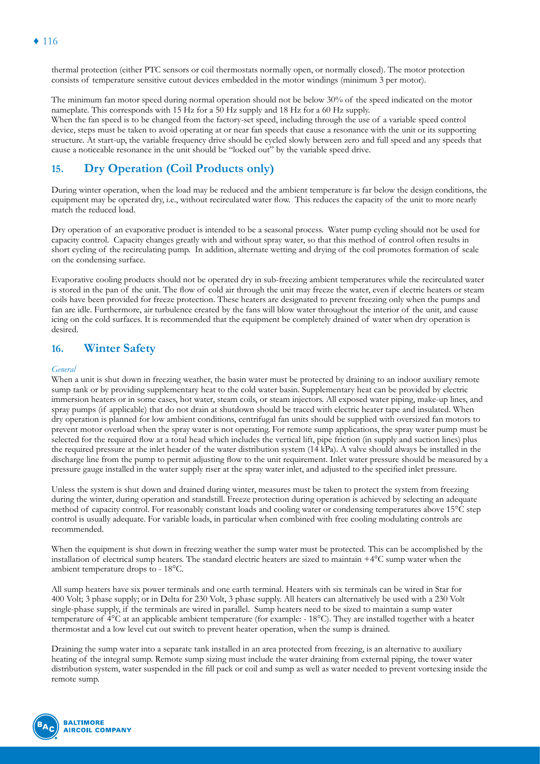thermal protection (either PTC sensors or coil thermostats normally open, or normally closed). The motor protection consists of temperature sensitive cutout devices embedded in the motor windings (minimum 3 per motor).

The minimum fan motor speed during normal operation should not be below 30% of the speed indicated on the motor nameplate. This corresponds with 15 Hz for a 50 Hz supply and 18 Hz for a 60 Hz supply. When the fan speed is to be changed from the factory-set speed, including through the use of a variable speed control device, steps must be taken to avoid operating at or near fan speeds that cause a resonance with the unit or its supporting structure. At start-up, the variable frequency drive should be cycled slowly between zero and full speed and any speeds that cause a noticeable resonance in the unit should be "locked out" by the variable speed drive.

# **15. Dry Operation (Coil Products only)**

During winter operation, when the load may be reduced and the ambient temperature is far below the design conditions, the equipment may be operated dry, i.e., without recirculated water flow. This reduces the capacity of the unit to more nearly match the reduced load.

Dry operation of an evaporative product is intended to be a seasonal process. Water pump cycling should not be used for capacity control. Capacity changes greatly with and without spray water, so that this method of control often results in short cycling of the recirculating pump. In addition, alternate wetting and drying of the coil promotes formation of scale on the condensing surface.

Evaporative cooling products should not be operated dry in sub-freezing ambient temperatures while the recirculated water is stored in the pan of the unit. The flow of cold air through the unit may freeze the water, even if electric heaters or steam coils have been provided for freeze protection. These heaters are designated to prevent freezing only when the pumps and fan are idle. Furthermore, air turbulence created by the fans will blow water throughout the interior of the unit, and cause icing on the cold surfaces. It is recommended that the equipment be completely drained of water when dry operation is desired.

# **16. Winter Safety**

## *General*

When a unit is shut down in freezing weather, the basin water must be protected by draining to an indoor auxiliary remote sump tank or by providing supplementary heat to the cold water basin. Supplementary heat can be provided by electric immersion heaters or in some cases, hot water, steam coils, or steam injectors. All exposed water piping, make-up lines, and spray pumps (if applicable) that do not drain at shutdown should be traced with electric heater tape and insulated. When dry operation is planned for low ambient conditions, centrifugal fan units should be supplied with oversized fan motors to prevent motor overload when the spray water is not operating. For remote sump applications, the spray water pump must be selected for the required flow at a total head which includes the vertical lift, pipe friction (in supply and suction lines) plus the required pressure at the inlet header of the water distribution system (14 kPa). A valve should always be installed in the discharge line from the pump to permit adjusting flow to the unit requirement. Inlet water pressure should be measured by a pressure gauge installed in the water supply riser at the spray water inlet, and adjusted to the specified inlet pressure.

Unless the system is shut down and drained during winter, measures must be taken to protect the system from freezing during the winter, during operation and standstill. Freeze protection during operation is achieved by selecting an adequate method of capacity control. For reasonably constant loads and cooling water or condensing temperatures above 15°C step control is usually adequate. For variable loads, in particular when combined with free cooling modulating controls are recommended.

When the equipment is shut down in freezing weather the sump water must be protected. This can be accomplished by the installation of electrical sump heaters. The standard electric heaters are sized to maintain +4°C sump water when the ambient temperature drops to - 18°C.

All sump heaters have six power terminals and one earth terminal. Heaters with six terminals can be wired in Star for 400 Volt; 3 phase supply; or in Delta for 230 Volt, 3 phase supply. All heaters can alternatively be used with a 230 Volt single-phase supply, if the terminals are wired in parallel. Sump heaters need to be sized to maintain a sump water temperature of 4°C at an applicable ambient temperature (for example: - 18°C). They are installed together with a heater thermostat and a low level cut out switch to prevent heater operation, when the sump is drained.

Draining the sump water into a separate tank installed in an area protected from freezing, is an alternative to auxiliary heating of the integral sump. Remote sump sizing must include the water draining from external piping, the tower water distribution system, water suspended in the fill pack or coil and sump as well as water needed to prevent vortexing inside the remote sump.

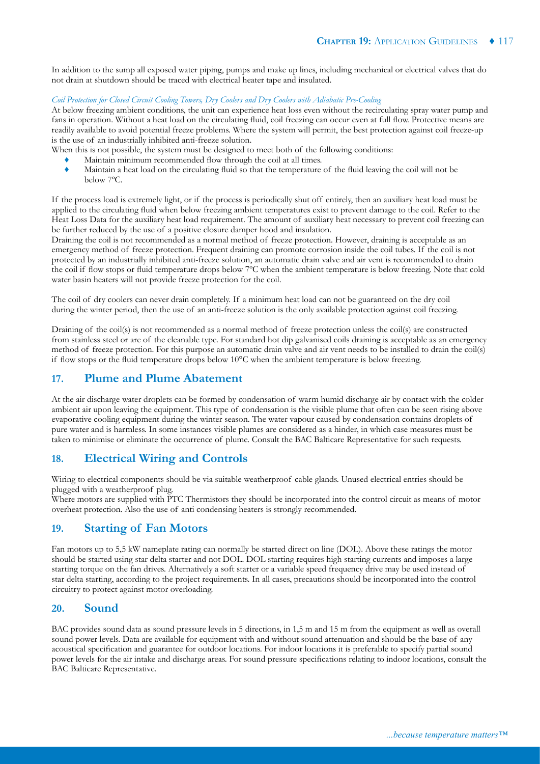In addition to the sump all exposed water piping, pumps and make up lines, including mechanical or electrical valves that do not drain at shutdown should be traced with electrical heater tape and insulated.

#### *Coil Protection for Closed Circuit Cooling Towers, Dry Coolers and Dry Coolers with Adiabatic Pre-Cooling*

At below freezing ambient conditions, the unit can experience heat loss even without the recirculating spray water pump and fans in operation. Without a heat load on the circulating fluid, coil freezing can occur even at full flow. Protective means are readily available to avoid potential freeze problems. Where the system will permit, the best protection against coil freeze-up is the use of an industrially inhibited anti-freeze solution.

When this is not possible, the system must be designed to meet both of the following conditions:

- Maintain minimum recommended flow through the coil at all times.
- ♦ Maintain a heat load on the circulating fluid so that the temperature of the fluid leaving the coil will not be below 7ºC.

If the process load is extremely light, or if the process is periodically shut off entirely, then an auxiliary heat load must be applied to the circulating fluid when below freezing ambient temperatures exist to prevent damage to the coil. Refer to the Heat Loss Data for the auxiliary heat load requirement. The amount of auxiliary heat necessary to prevent coil freezing can be further reduced by the use of a positive closure damper hood and insulation.

Draining the coil is not recommended as a normal method of freeze protection. However, draining is acceptable as an emergency method of freeze protection. Frequent draining can promote corrosion inside the coil tubes. If the coil is not protected by an industrially inhibited anti-freeze solution, an automatic drain valve and air vent is recommended to drain the coil if flow stops or fluid temperature drops below 7ºC when the ambient temperature is below freezing. Note that cold water basin heaters will not provide freeze protection for the coil.

The coil of dry coolers can never drain completely. If a minimum heat load can not be guaranteed on the dry coil during the winter period, then the use of an anti-freeze solution is the only available protection against coil freezing.

Draining of the coil(s) is not recommended as a normal method of freeze protection unless the coil(s) are constructed from stainless steel or are of the cleanable type. For standard hot dip galvanised coils draining is acceptable as an emergency method of freeze protection. For this purpose an automatic drain valve and air vent needs to be installed to drain the coil(s) if flow stops or the fluid temperature drops below 10°C when the ambient temperature is below freezing.

# **17. Plume and Plume Abatement**

At the air discharge water droplets can be formed by condensation of warm humid discharge air by contact with the colder ambient air upon leaving the equipment. This type of condensation is the visible plume that often can be seen rising above evaporative cooling equipment during the winter season. The water vapour caused by condensation contains droplets of pure water and is harmless. In some instances visible plumes are considered as a hinder, in which case measures must be taken to minimise or eliminate the occurrence of plume. Consult the BAC Balticare Representative for such requests.

# **18. Electrical Wiring and Controls**

Wiring to electrical components should be via suitable weatherproof cable glands. Unused electrical entries should be plugged with a weatherproof plug.

Where motors are supplied with PTC Thermistors they should be incorporated into the control circuit as means of motor overheat protection. Also the use of anti condensing heaters is strongly recommended.

# **19. Starting of Fan Motors**

Fan motors up to 5,5 kW nameplate rating can normally be started direct on line (DOL). Above these ratings the motor should be started using star delta starter and not DOL. DOL starting requires high starting currents and imposes a large starting torque on the fan drives. Alternatively a soft starter or a variable speed frequency drive may be used instead of star delta starting, according to the project requirements. In all cases, precautions should be incorporated into the control circuitry to protect against motor overloading.

# **20. Sound**

BAC provides sound data as sound pressure levels in 5 directions, in 1,5 m and 15 m from the equipment as well as overall sound power levels. Data are available for equipment with and without sound attenuation and should be the base of any acoustical specification and guarantee for outdoor locations. For indoor locations it is preferable to specify partial sound power levels for the air intake and discharge areas. For sound pressure specifications relating to indoor locations, consult the BAC Balticare Representative.